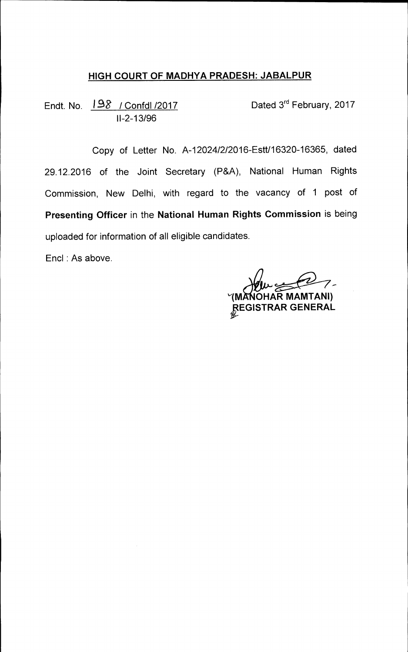## **HIGH COURT OF MADHYA PRADESH: JABALPUR**

Endt. No.  $198$  / Confdl /2017 Dated 3<sup>rd</sup> February, 2017 11-2-13/96

Copy of Letter No. A-12024/2/2016-Estt/16320-16365, dated 29.12.2016 of the Joint Secretary (P&A), National Human Rights Commission, New Delhi, with regard to the vacancy of 1 post of **Presenting Officer** in the **National Human Rights Commission** is being uploaded for information of all eligible candidates.

Encl : As above.

**1M OHAR MAMTANI) REGISTRAR GENERAL**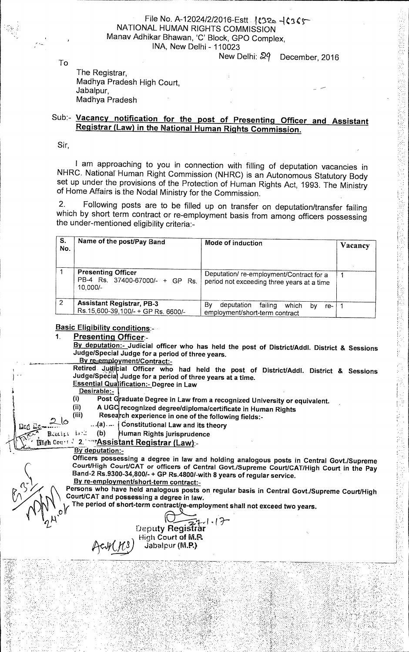## File No. A-12024/2/2016-Estt 1C32a -1C365 NATIONAL HUMAN RIGHTS COMMISSION Manav Adhikar Bhawan, 'C' Block, GPO Complex, INA, New Delhi - 110023

New Delhi:  $\mathbb{R}$ <sup>9</sup> December, 2016

ir.<br>F

To

The Registrar, Madhya Pradesh High Court, Jabalpur, Madhya Pradesh

## Sub:- **Vacancy notification for the post of Presenting Officer and Assistant Registrar (Law) in the National Human Rights Commission.**

Sir,

I am approaching to you in connection with filling of deputation vacancies in NHRC. National Human Right Commission (NHRC) is an Autonomous Statutory Body set up under the provisions of the Protection of Human Rights Act, 1993. The Ministry of Home Affairs is the Nodal Ministry for the Commission.

2. Following posts are to be filled up on transfer on deputation/transfer failing which by short term contract or re-employment basis from among officers possessing the under-mentioned eligibility criteria:-

| S.<br>No.      | Name of the post/Pay Band                                                | Mode of induction                                                                     | Vacancy |
|----------------|--------------------------------------------------------------------------|---------------------------------------------------------------------------------------|---------|
|                | <b>Presenting Officer</b><br>PB-4 Rs. 37400-67000/- + GP Rs.<br>10.000/- | Deputation/re-employment/Contract for a<br>period not exceeding three years at a time |         |
| $\overline{2}$ | <b>Assistant Registrar, PB-3</b><br>Rs. 15,600-39, 100/- + GP Rs. 6600/- | Bv<br>deputation<br>failing<br>which<br>bv<br>re-<br>employment/short-term contract   |         |

**Basic Eligibility conditions:-**

**Presenting Officer:-** 

**By deputation:- Judicial officer who has held the post of DistrictJAddl. District & Sessions Judge/Special Judge for a period of three years.** 

**By re-employment/Contract:-**

Retired. Judictial Officer who had held the post of District/Addl. District & Sessions Judge/Specia Judge for a period of three years at a time. **Essential Qualification:- Degree in Law** 

- **Desirable:-**
- Post Graduate Degree in Law from a recognized University or equivalent.
- **(ii) AUG recognized degree/diploma/certificate in Human Rights**
- **, (iii) Rese ch experience in one of the following fields:-** 
	- **Constitutional Law and its theory**
- Reacipt is: **(b) uman Rights jurisprudence**

## **Eva cox:. t 2. 'rAssistant Registrar (Law):-**

**By deputation:-** 

**Officers possessing a degree in law and holding analogous posts in Central Govt./Supreme Court/High Court/CAT or officers of Central Govt./Supreme Court/CAT/High Court in the Pay Band-2 Rs.9300-34,800/- + GP Rs.4800/-with 8 years of regular service. By re-employment/short-term contract:-** 

**Persons who have held analogous posts on regular basis in Central Govt./Supreme Court/High Court/CAT and possessing a degree in law.** 

The period of short-term contract/re-employment shall not exceed two years.

**I ?— Deputy Registrar High Court of M.P.**<br>Jabalpur (M.P.)